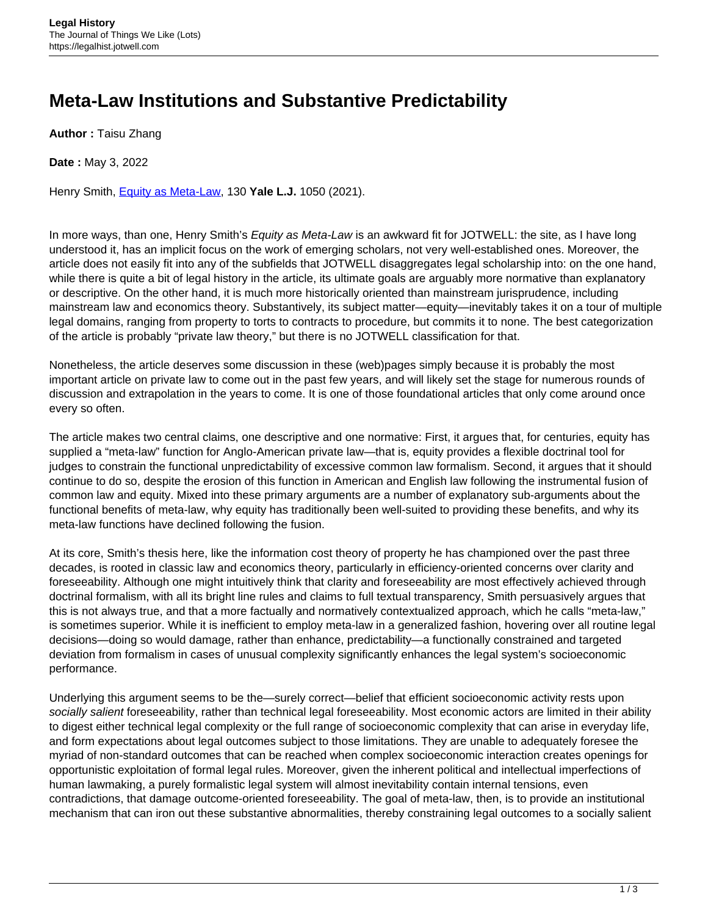## **Meta-Law Institutions and Substantive Predictability**

**Author :** Taisu Zhang

**Date :** May 3, 2022

Henry Smith, [Equity as Meta-Law,](https://www.yalelawjournal.org/article/equity-as-meta-law) 130 **Yale L.J.** 1050 (2021).

In more ways, than one, Henry Smith's Equity as Meta-Law is an awkward fit for JOTWELL: the site, as I have long understood it, has an implicit focus on the work of emerging scholars, not very well-established ones. Moreover, the article does not easily fit into any of the subfields that JOTWELL disaggregates legal scholarship into: on the one hand, while there is quite a bit of legal history in the article, its ultimate goals are arguably more normative than explanatory or descriptive. On the other hand, it is much more historically oriented than mainstream jurisprudence, including mainstream law and economics theory. Substantively, its subject matter—equity—inevitably takes it on a tour of multiple legal domains, ranging from property to torts to contracts to procedure, but commits it to none. The best categorization of the article is probably "private law theory," but there is no JOTWELL classification for that.

Nonetheless, the article deserves some discussion in these (web)pages simply because it is probably the most important article on private law to come out in the past few years, and will likely set the stage for numerous rounds of discussion and extrapolation in the years to come. It is one of those foundational articles that only come around once every so often.

The article makes two central claims, one descriptive and one normative: First, it argues that, for centuries, equity has supplied a "meta-law" function for Anglo-American private law—that is, equity provides a flexible doctrinal tool for judges to constrain the functional unpredictability of excessive common law formalism. Second, it argues that it should continue to do so, despite the erosion of this function in American and English law following the instrumental fusion of common law and equity. Mixed into these primary arguments are a number of explanatory sub-arguments about the functional benefits of meta-law, why equity has traditionally been well-suited to providing these benefits, and why its meta-law functions have declined following the fusion.

At its core, Smith's thesis here, like the information cost theory of property he has championed over the past three decades, is rooted in classic law and economics theory, particularly in efficiency-oriented concerns over clarity and foreseeability. Although one might intuitively think that clarity and foreseeability are most effectively achieved through doctrinal formalism, with all its bright line rules and claims to full textual transparency, Smith persuasively argues that this is not always true, and that a more factually and normatively contextualized approach, which he calls "meta-law," is sometimes superior. While it is inefficient to employ meta-law in a generalized fashion, hovering over all routine legal decisions—doing so would damage, rather than enhance, predictability—a functionally constrained and targeted deviation from formalism in cases of unusual complexity significantly enhances the legal system's socioeconomic performance.

Underlying this argument seems to be the—surely correct—belief that efficient socioeconomic activity rests upon socially salient foreseeability, rather than technical legal foreseeability. Most economic actors are limited in their ability to digest either technical legal complexity or the full range of socioeconomic complexity that can arise in everyday life, and form expectations about legal outcomes subject to those limitations. They are unable to adequately foresee the myriad of non-standard outcomes that can be reached when complex socioeconomic interaction creates openings for opportunistic exploitation of formal legal rules. Moreover, given the inherent political and intellectual imperfections of human lawmaking, a purely formalistic legal system will almost inevitability contain internal tensions, even contradictions, that damage outcome-oriented foreseeability. The goal of meta-law, then, is to provide an institutional mechanism that can iron out these substantive abnormalities, thereby constraining legal outcomes to a socially salient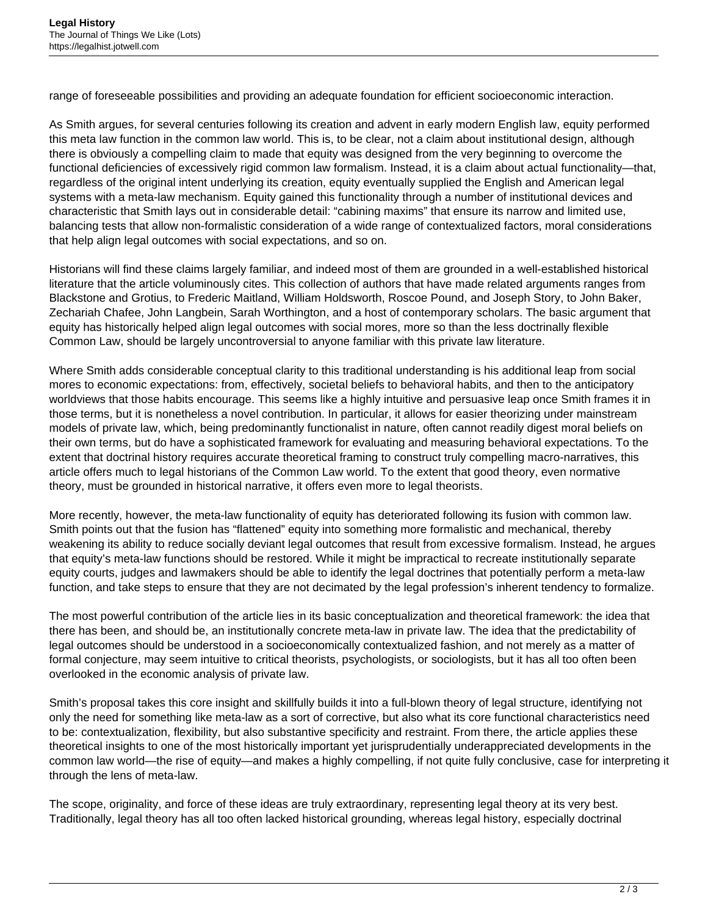range of foreseeable possibilities and providing an adequate foundation for efficient socioeconomic interaction.

As Smith argues, for several centuries following its creation and advent in early modern English law, equity performed this meta law function in the common law world. This is, to be clear, not a claim about institutional design, although there is obviously a compelling claim to made that equity was designed from the very beginning to overcome the functional deficiencies of excessively rigid common law formalism. Instead, it is a claim about actual functionality—that, regardless of the original intent underlying its creation, equity eventually supplied the English and American legal systems with a meta-law mechanism. Equity gained this functionality through a number of institutional devices and characteristic that Smith lays out in considerable detail: "cabining maxims" that ensure its narrow and limited use, balancing tests that allow non-formalistic consideration of a wide range of contextualized factors, moral considerations that help align legal outcomes with social expectations, and so on.

Historians will find these claims largely familiar, and indeed most of them are grounded in a well-established historical literature that the article voluminously cites. This collection of authors that have made related arguments ranges from Blackstone and Grotius, to Frederic Maitland, William Holdsworth, Roscoe Pound, and Joseph Story, to John Baker, Zechariah Chafee, John Langbein, Sarah Worthington, and a host of contemporary scholars. The basic argument that equity has historically helped align legal outcomes with social mores, more so than the less doctrinally flexible Common Law, should be largely uncontroversial to anyone familiar with this private law literature.

Where Smith adds considerable conceptual clarity to this traditional understanding is his additional leap from social mores to economic expectations: from, effectively, societal beliefs to behavioral habits, and then to the anticipatory worldviews that those habits encourage. This seems like a highly intuitive and persuasive leap once Smith frames it in those terms, but it is nonetheless a novel contribution. In particular, it allows for easier theorizing under mainstream models of private law, which, being predominantly functionalist in nature, often cannot readily digest moral beliefs on their own terms, but do have a sophisticated framework for evaluating and measuring behavioral expectations. To the extent that doctrinal history requires accurate theoretical framing to construct truly compelling macro-narratives, this article offers much to legal historians of the Common Law world. To the extent that good theory, even normative theory, must be grounded in historical narrative, it offers even more to legal theorists.

More recently, however, the meta-law functionality of equity has deteriorated following its fusion with common law. Smith points out that the fusion has "flattened" equity into something more formalistic and mechanical, thereby weakening its ability to reduce socially deviant legal outcomes that result from excessive formalism. Instead, he argues that equity's meta-law functions should be restored. While it might be impractical to recreate institutionally separate equity courts, judges and lawmakers should be able to identify the legal doctrines that potentially perform a meta-law function, and take steps to ensure that they are not decimated by the legal profession's inherent tendency to formalize.

The most powerful contribution of the article lies in its basic conceptualization and theoretical framework: the idea that there has been, and should be, an institutionally concrete meta-law in private law. The idea that the predictability of legal outcomes should be understood in a socioeconomically contextualized fashion, and not merely as a matter of formal conjecture, may seem intuitive to critical theorists, psychologists, or sociologists, but it has all too often been overlooked in the economic analysis of private law.

Smith's proposal takes this core insight and skillfully builds it into a full-blown theory of legal structure, identifying not only the need for something like meta-law as a sort of corrective, but also what its core functional characteristics need to be: contextualization, flexibility, but also substantive specificity and restraint. From there, the article applies these theoretical insights to one of the most historically important yet jurisprudentially underappreciated developments in the common law world—the rise of equity—and makes a highly compelling, if not quite fully conclusive, case for interpreting it through the lens of meta-law.

The scope, originality, and force of these ideas are truly extraordinary, representing legal theory at its very best. Traditionally, legal theory has all too often lacked historical grounding, whereas legal history, especially doctrinal